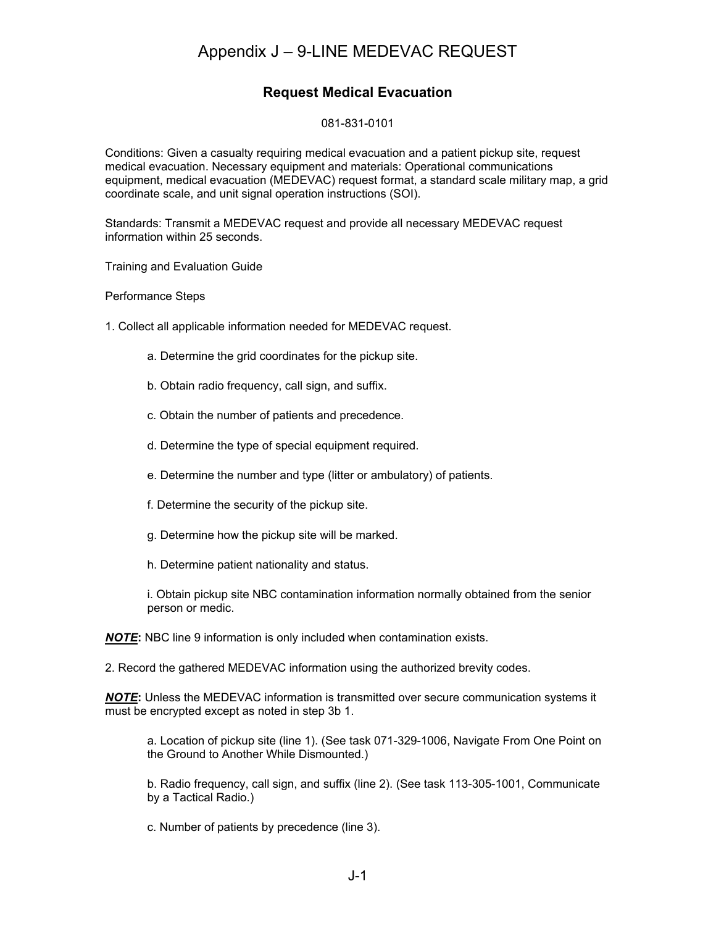## Appendix J – 9-LINE MEDEVAC REQUEST

### **Request Medical Evacuation**

#### 081-831-0101

Conditions: Given a casualty requiring medical evacuation and a patient pickup site, request medical evacuation. Necessary equipment and materials: Operational communications equipment, medical evacuation (MEDEVAC) request format, a standard scale military map, a grid coordinate scale, and unit signal operation instructions (SOI).

Standards: Transmit a MEDEVAC request and provide all necessary MEDEVAC request information within 25 seconds.

Training and Evaluation Guide

Performance Steps

- 1. Collect all applicable information needed for MEDEVAC request.
	- a. Determine the grid coordinates for the pickup site.
	- b. Obtain radio frequency, call sign, and suffix.
	- c. Obtain the number of patients and precedence.
	- d. Determine the type of special equipment required.
	- e. Determine the number and type (litter or ambulatory) of patients.
	- f. Determine the security of the pickup site.
	- g. Determine how the pickup site will be marked.
	- h. Determine patient nationality and status.

i. Obtain pickup site NBC contamination information normally obtained from the senior person or medic.

*NOTE***:** NBC line 9 information is only included when contamination exists.

2. Record the gathered MEDEVAC information using the authorized brevity codes.

*NOTE***:** Unless the MEDEVAC information is transmitted over secure communication systems it must be encrypted except as noted in step 3b 1.

a. Location of pickup site (line 1). (See task 071-329-1006, Navigate From One Point on the Ground to Another While Dismounted.)

b. Radio frequency, call sign, and suffix (line 2). (See task 113-305-1001, Communicate by a Tactical Radio.)

c. Number of patients by precedence (line 3).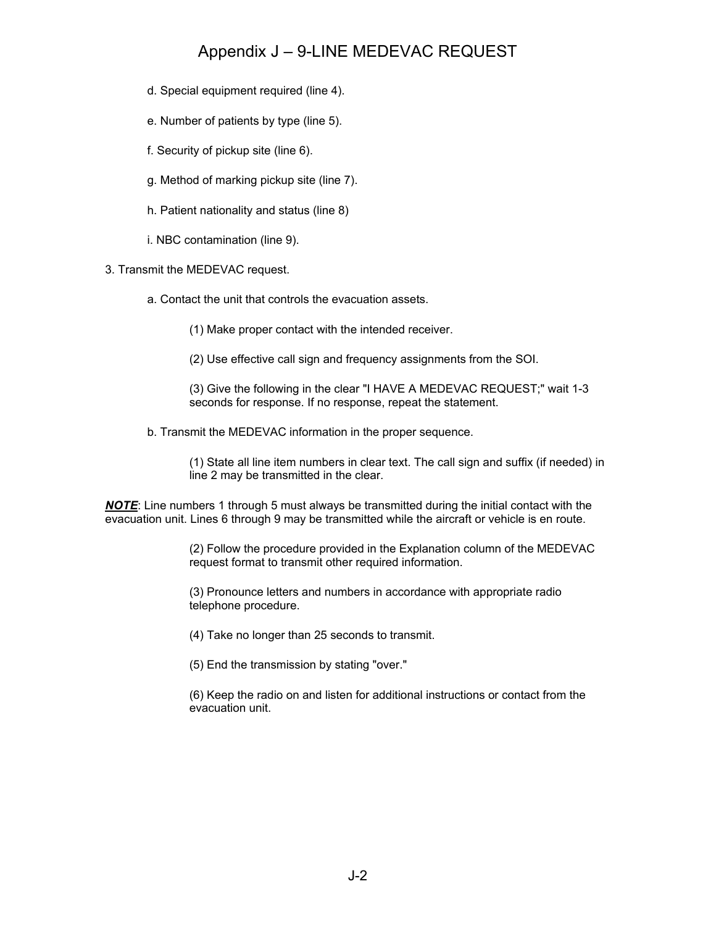## Appendix J – 9-LINE MEDEVAC REQUEST

- d. Special equipment required (line 4).
- e. Number of patients by type (line 5).
- f. Security of pickup site (line 6).
- g. Method of marking pickup site (line 7).
- h. Patient nationality and status (line 8)
- i. NBC contamination (line 9).
- 3. Transmit the MEDEVAC request.
	- a. Contact the unit that controls the evacuation assets.
		- (1) Make proper contact with the intended receiver.
		- (2) Use effective call sign and frequency assignments from the SOI.

(3) Give the following in the clear "I HAVE A MEDEVAC REQUEST;" wait 1-3 seconds for response. If no response, repeat the statement.

b. Transmit the MEDEVAC information in the proper sequence.

(1) State all line item numbers in clear text. The call sign and suffix (if needed) in line 2 may be transmitted in the clear.

*NOTE*: Line numbers 1 through 5 must always be transmitted during the initial contact with the evacuation unit. Lines 6 through 9 may be transmitted while the aircraft or vehicle is en route.

> (2) Follow the procedure provided in the Explanation column of the MEDEVAC request format to transmit other required information.

(3) Pronounce letters and numbers in accordance with appropriate radio telephone procedure.

(4) Take no longer than 25 seconds to transmit.

(5) End the transmission by stating "over."

(6) Keep the radio on and listen for additional instructions or contact from the evacuation unit.